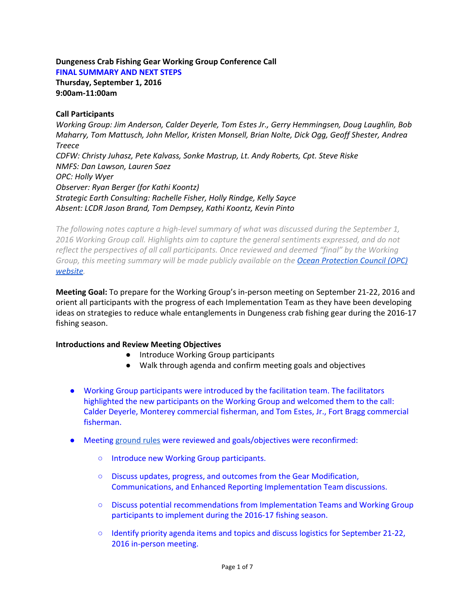#### **Dungeness Crab Fishing Gear Working Group Conference Call FINAL SUMMARY AND NEXT STEPS**

**Thursday, September 1, 2016 9:00am11:00am**

## **Call Participants**

*Working Group: Jim Anderson, Calder Deyerle, Tom Estes Jr., Gerry Hemmingsen, Doug Laughlin, Bob Maharry, Tom Mattusch, John Mellor, Kristen Monsell, Brian Nolte, Dick Ogg, Geoff Shester, Andrea Treece CDFW: Christy Juhasz, Pete Kalvass, Sonke Mastrup, Lt. Andy Roberts, Cpt. Steve Riske NMFS: Dan Lawson, Lauren Saez OPC: Holly Wyer Observer: Ryan Berger (for Kathi Koontz) Strategic Earth Consulting: Rachelle Fisher, Holly Rindge, Kelly Sayce Absent: LCDR Jason Brand, Tom Dempsey, Kathi Koontz, Kevin Pinto*

The following notes capture a high-level summary of what was discussed during the September 1, *2016 Working Group call. Highlights aim to capture the general sentiments expressed, and do not reflect the perspectives of all call participants. Once reviewed and deemed "final" by the Working Group, this meeting summary will be made publicly available on the [Ocean Protection Council \(OPC\)](http://www.opc.ca.gov/whale-entanglement-working-group/) [website.](http://www.opc.ca.gov/whale-entanglement-working-group/)*

**Meeting Goal:** To prepare for the Working Group's in-person meeting on September 21-22, 2016 and orient all participants with the progress of each Implementation Team as they have been developing ideas on strategies to reduce whale entanglements in Dungeness crab fishing gear during the 2016-17 fishing season.

# **Introductions and Review Meeting Objectives**

- Introduce Working Group participants
- Walk through agenda and confirm meeting goals and objectives
- Working Group participants were introduced by the facilitation team. The facilitators highlighted the new participants on the Working Group and welcomed them to the call: Calder Deyerle, Monterey commercial fisherman, and Tom Estes, Jr., Fort Bragg commercial fisherman.
- Meeting [ground rules](http://www.opc.ca.gov/webmaster/ftp/project_pages/whale-entanglement/Charter2016.pdf) were reviewed and goals/objectives were reconfirmed:
	- Introduce new Working Group participants.
	- Discuss updates, progress, and outcomes from the Gear Modification, Communications, and Enhanced Reporting Implementation Team discussions.
	- Discuss potential recommendations from Implementation Teams and Working Group participants to implement during the 2016-17 fishing season.
	- Identify priority agenda items and topics and discuss logistics for September 21-22, 2016 in-person meeting.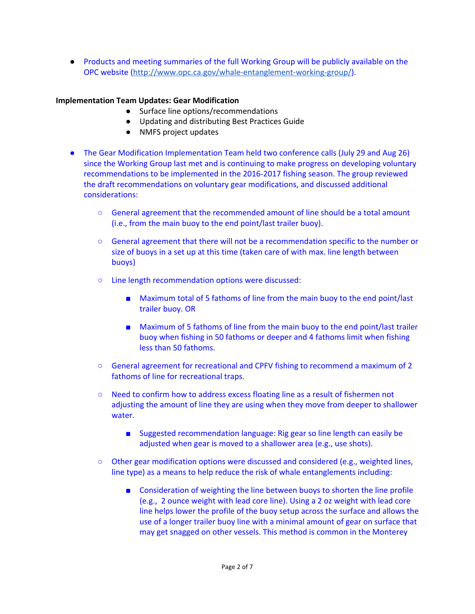● Products and meeting summaries of the full Working Group will be publicly available on the OPC website (http://www.opc.ca.gov/whale-entanglement-working-group/).

# **Implementation Team Updates: Gear Modification**

- Surface line options/recommendations
- Updating and distributing Best Practices Guide
- NMFS project updates
- The Gear Modification Implementation Team held two conference calls (July 29 and Aug 26) since the Working Group last met and is continuing to make progress on developing voluntary recommendations to be implemented in the 2016-2017 fishing season. The group reviewed the draft recommendations on voluntary gear modifications, and discussed additional considerations:
	- General agreement that the recommended amount of line should be a total amount (i.e., from the main buoy to the end point/last trailer buoy).
	- *○* General agreement that there will not be a recommendation specific to the number or size of buoys in a set up at this time (taken care of with max. line length between buoys)
	- Line length recommendation options were discussed:
		- Maximum total of 5 fathoms of line from the main buoy to the end point/last trailer buoy. OR
		- Maximum of 5 fathoms of line from the main buoy to the end point/last trailer buoy when fishing in 50 fathoms or deeper and 4 fathoms limit when fishing less than 50 fathoms.
	- *○* General agreement for recreational and CPFV fishing to recommend a maximum of 2 fathoms of line for recreational traps.
	- Need to confirm how to address excess floating line as a result of fishermen not adjusting the amount of line they are using when they move from deeper to shallower water.
		- Suggested recommendation language: Rig gear so line length can easily be adjusted when gear is moved to a shallower area (e.g., use shots).
	- Other gear modification options were discussed and considered (e.g., weighted lines, line type) as a means to help reduce the risk of whale entanglements including:
		- Consideration of weighting the line between buoys to shorten the line profile (e.g., 2 ounce weight with lead core line). Using a 2 oz weight with lead core line helps lower the profile of the buoy setup across the surface and allows the use of a longer trailer buoy line with a minimal amount of gear on surface that may get snagged on other vessels. This method is common in the Monterey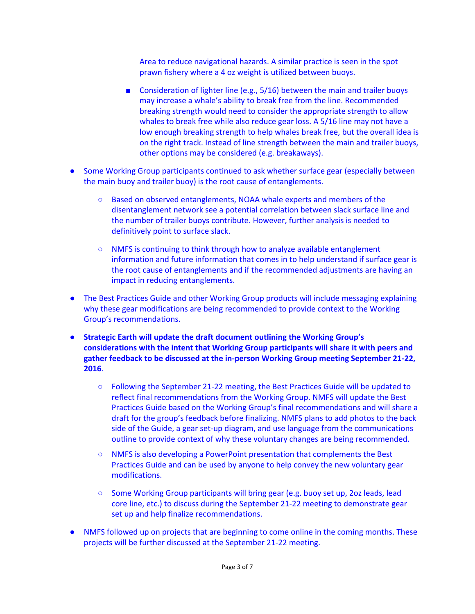Area to reduce navigational hazards. A similar practice is seen in the spot prawn fishery where a 4 oz weight is utilized between buoys.

- Consideration of lighter line (e.g., 5/16) between the main and trailer buoys may increase a whale's ability to break free from the line. Recommended breaking strength would need to consider the appropriate strength to allow whales to break free while also reduce gear loss. A 5/16 line may not have a low enough breaking strength to help whales break free, but the overall idea is on the right track. Instead of line strength between the main and trailer buoys, other options may be considered (e.g. breakaways).
- Some Working Group participants continued to ask whether surface gear (especially between the main buoy and trailer buoy) is the root cause of entanglements.
	- Based on observed entanglements, NOAA whale experts and members of the disentanglement network see a potential correlation between slack surface line and the number of trailer buoys contribute. However, further analysis is needed to definitively point to surface slack.
	- NMFS is continuing to think through how to analyze available entanglement information and future information that comes in to help understand if surface gear is the root cause of entanglements and if the recommended adjustments are having an impact in reducing entanglements.
- The Best Practices Guide and other Working Group products will include messaging explaining why these gear modifications are being recommended to provide context to the Working Group's recommendations.
- **Strategic Earth will update the draft document outlining the Working Group's considerations with the intent that Working Group participants will share it with peers and** gather feedback to be discussed at the in-person Working Group meeting September 21-22, **2016**.
	- Following the September 2122 meeting, the Best Practices Guide will be updated to reflect final recommendations from the Working Group. NMFS will update the Best Practices Guide based on the Working Group's final recommendations and will share a draft for the group's feedback before finalizing. NMFS plans to add photos to the back side of the Guide, a gear set-up diagram, and use language from the communications outline to provide context of why these voluntary changes are being recommended.
	- NMFS is also developing a PowerPoint presentation that complements the Best Practices Guide and can be used by anyone to help convey the new voluntary gear modifications.
	- Some Working Group participants will bring gear (e.g. buoy set up, 2oz leads, lead core line, etc.) to discuss during the September 21-22 meeting to demonstrate gear set up and help finalize recommendations.
- NMFS followed up on projects that are beginning to come online in the coming months. These projects will be further discussed at the September 21-22 meeting.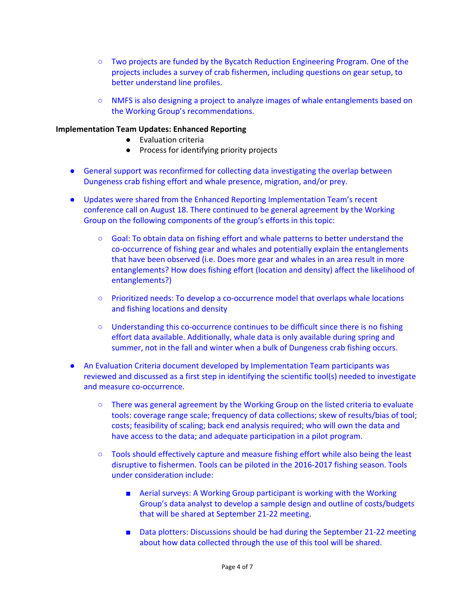- Two projects are funded by the Bycatch Reduction Engineering Program. One of the projects includes a survey of crab fishermen, including questions on gear setup, to better understand line profiles.
- NMFS is also designing a project to analyze images of whale entanglements based on the Working Group's recommendations.

### **Implementation Team Updates: Enhanced Reporting**

- Evaluation criteria
- Process for identifying priority projects
- *●* General support was reconfirmed for collecting data investigating the overlap between Dungeness crab fishing effort and whale presence, migration, and/or prey.
- Updates were shared from the Enhanced Reporting Implementation Team's recent conference call on August 18. There continued to be general agreement by the Working Group on the following components of the group's efforts in this topic:
	- *○* Goal: To obtain data on fishing effort and whale patterns to better understand the co-occurrence of fishing gear and whales and potentially explain the entanglements that have been observed (i.e. Does more gear and whales in an area result in more entanglements? How does fishing effort (location and density) affect the likelihood of entanglements?)
	- Prioritized needs: To develop a co-occurrence model that overlaps whale locations and fishing locations and density
	- Understanding this co-occurrence continues to be difficult since there is no fishing effort data available. Additionally, whale data is only available during spring and summer, not in the fall and winter when a bulk of Dungeness crab fishing occurs.
- An Evaluation Criteria document developed by Implementation Team participants was reviewed and discussed as a first step in identifying the scientific tool(s) needed to investigate and measure co-occurrence.
	- There was general agreement by the Working Group on the listed criteria to evaluate tools: coverage range scale; frequency of data collections; skew of results/bias of tool; costs; feasibility of scaling; back end analysis required; who will own the data and have access to the data; and adequate participation in a pilot program.
	- Tools should effectively capture and measure fishing effort while also being the least disruptive to fishermen. Tools can be piloted in the 2016-2017 fishing season. Tools under consideration include:
		- Aerial surveys: A Working Group participant is working with the Working Group's data analyst to develop a sample design and outline of costs/budgets that will be shared at September 21-22 meeting.
		- Data plotters: Discussions should be had during the September 21-22 meeting about how data collected through the use of this tool will be shared.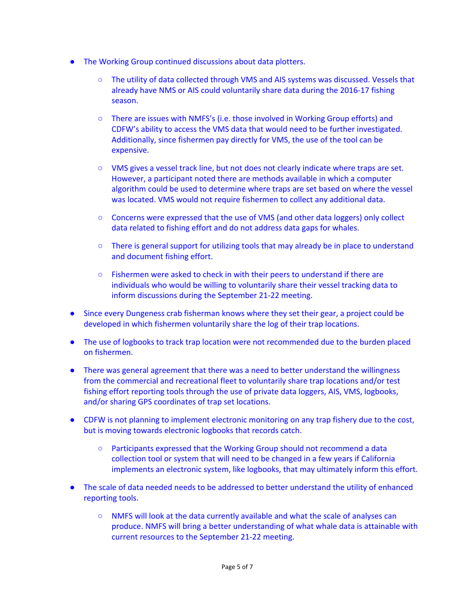- The Working Group continued discussions about data plotters.
	- The utility of data collected through VMS and AIS systems was discussed. Vessels that already have NMS or AIS could voluntarily share data during the 2016-17 fishing season.
	- There are issues with NMFS's (i.e. those involved in Working Group efforts) and CDFW's ability to access the VMS data that would need to be further investigated. Additionally, since fishermen pay directly for VMS, the use of the tool can be expensive.
	- VMS gives a vessel track line, but not does not clearly indicate where traps are set. However, a participant noted there are methods available in which a computer algorithm could be used to determine where traps are set based on where the vessel was located. VMS would not require fishermen to collect any additional data.
	- Concerns were expressed that the use of VMS (and other data loggers) only collect data related to fishing effort and do not address data gaps for whales.
	- There is general support for utilizing tools that may already be in place to understand and document fishing effort.
	- Fishermen were asked to check in with their peers to understand if there are individuals who would be willing to voluntarily share their vessel tracking data to inform discussions during the September 21-22 meeting.
- Since every Dungeness crab fisherman knows where they set their gear, a project could be developed in which fishermen voluntarily share the log of their trap locations.
- The use of logbooks to track trap location were not recommended due to the burden placed on fishermen.
- There was general agreement that there was a need to better understand the willingness from the commercial and recreational fleet to voluntarily share trap locations and/or test fishing effort reporting tools through the use of private data loggers, AIS, VMS, logbooks, and/or sharing GPS coordinates of trap set locations.
- CDFW is not planning to implement electronic monitoring on any trap fishery due to the cost, but is moving towards electronic logbooks that records catch.
	- Participants expressed that the Working Group should not recommend a data collection tool or system that will need to be changed in a few years if California implements an electronic system, like logbooks, that may ultimately inform this effort.
- The scale of data needed needs to be addressed to better understand the utility of enhanced reporting tools.
	- NMFS will look at the data currently available and what the scale of analyses can produce. NMFS will bring a better understanding of what whale data is attainable with current resources to the September 21-22 meeting.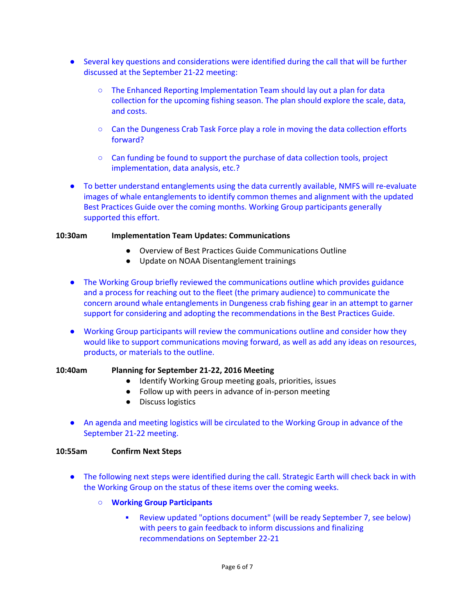- Several key questions and considerations were identified during the call that will be further discussed at the September 21-22 meeting:
	- The Enhanced Reporting Implementation Team should lay out a plan for data collection for the upcoming fishing season. The plan should explore the scale, data, and costs.
	- Can the Dungeness Crab Task Force play a role in moving the data collection efforts forward?
	- Can funding be found to support the purchase of data collection tools, project implementation, data analysis, etc.?
- To better understand entanglements using the data currently available, NMFS will re-evaluate images of whale entanglements to identify common themes and alignment with the updated Best Practices Guide over the coming months. Working Group participants generally supported this effort.

#### **10:30am Implementation Team Updates: Communications**

- Overview of Best Practices Guide Communications Outline
- Update on NOAA Disentanglement trainings
- The Working Group briefly reviewed the communications outline which provides guidance and a process for reaching out to the fleet (the primary audience) to communicate the concern around whale entanglements in Dungeness crab fishing gear in an attempt to garner support for considering and adopting the recommendations in the Best Practices Guide.
- Working Group participants will review the communications outline and consider how they would like to support communications moving forward, as well as add any ideas on resources, products, or materials to the outline.

#### **10:40am** Planning for September 21-22, 2016 Meeting

- Identify Working Group meeting goals, priorities, issues
- Follow up with peers in advance of in-person meeting
- Discuss logistics
- An agenda and meeting logistics will be circulated to the Working Group in advance of the September 21-22 meeting.

#### **10:55am Confirm Next Steps**

- The following next steps were identified during the call. Strategic Earth will check back in with the Working Group on the status of these items over the coming weeks.
	- **○ Working Group Participants**
		- **▪** Review updated "options document" (will be ready September 7, see below) with peers to gain feedback to inform discussions and finalizing recommendations on September 22-21